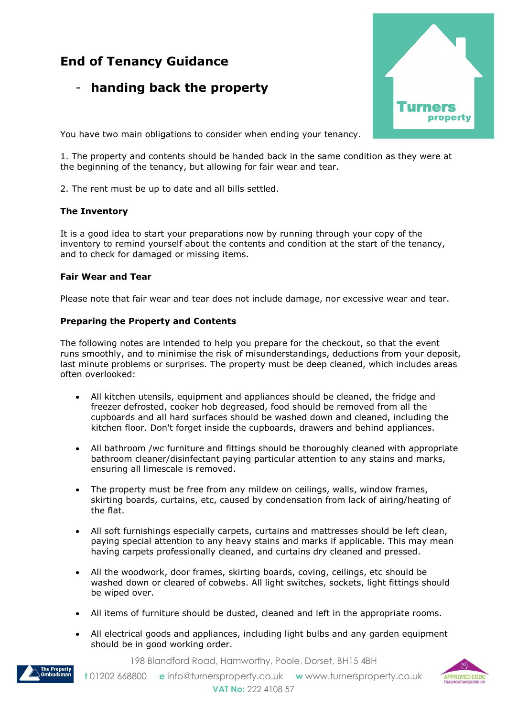# **End of Tenancy Guidance**

# - **handing back the property**



You have two main obligations to consider when ending your tenancy.

1. The property and contents should be handed back in the same condition as they were at the beginning of the tenancy, but allowing for fair wear and tear.

2. The rent must be up to date and all bills settled.

#### **The Inventory**

It is a good idea to start your preparations now by running through your copy of the inventory to remind yourself about the contents and condition at the start of the tenancy, and to check for damaged or missing items.

#### **Fair Wear and Tear**

Please note that fair wear and tear does not include damage, nor excessive wear and tear.

#### **Preparing the Property and Contents**

The following notes are intended to help you prepare for the checkout, so that the event runs smoothly, and to minimise the risk of misunderstandings, deductions from your deposit, last minute problems or surprises. The property must be deep cleaned, which includes areas often overlooked:

- All kitchen utensils, equipment and appliances should be cleaned, the fridge and freezer defrosted, cooker hob degreased, food should be removed from all the cupboards and all hard surfaces should be washed down and cleaned, including the kitchen floor. Don't forget inside the cupboards, drawers and behind appliances.
- All bathroom /wc furniture and fittings should be thoroughly cleaned with appropriate bathroom cleaner/disinfectant paying particular attention to any stains and marks, ensuring all limescale is removed.
- The property must be free from any mildew on ceilings, walls, window frames, skirting boards, curtains, etc, caused by condensation from lack of airing/heating of the flat.
- All soft furnishings especially carpets, curtains and mattresses should be left clean, paying special attention to any heavy stains and marks if applicable. This may mean having carpets professionally cleaned, and curtains dry cleaned and pressed.
- All the woodwork, door frames, skirting boards, coving, ceilings, etc should be washed down or cleared of cobwebs. All light switches, sockets, light fittings should be wiped over.
- All items of furniture should be dusted, cleaned and left in the appropriate rooms.
- All electrical goods and appliances, including light bulbs and any garden equipment should be in good working order.

198 Blandford Road, Hamworthy, Poole, Dorset, BH15 4BH



 **t** 01202 668800 **e** [info@turnersproperty.co.uk](mailto:info@turnersproperty.co.uk) **w** [www.turnersproperty.co.uk](http://www.turnersproperty.co.uk/) **VAT No:** 222 4108 57